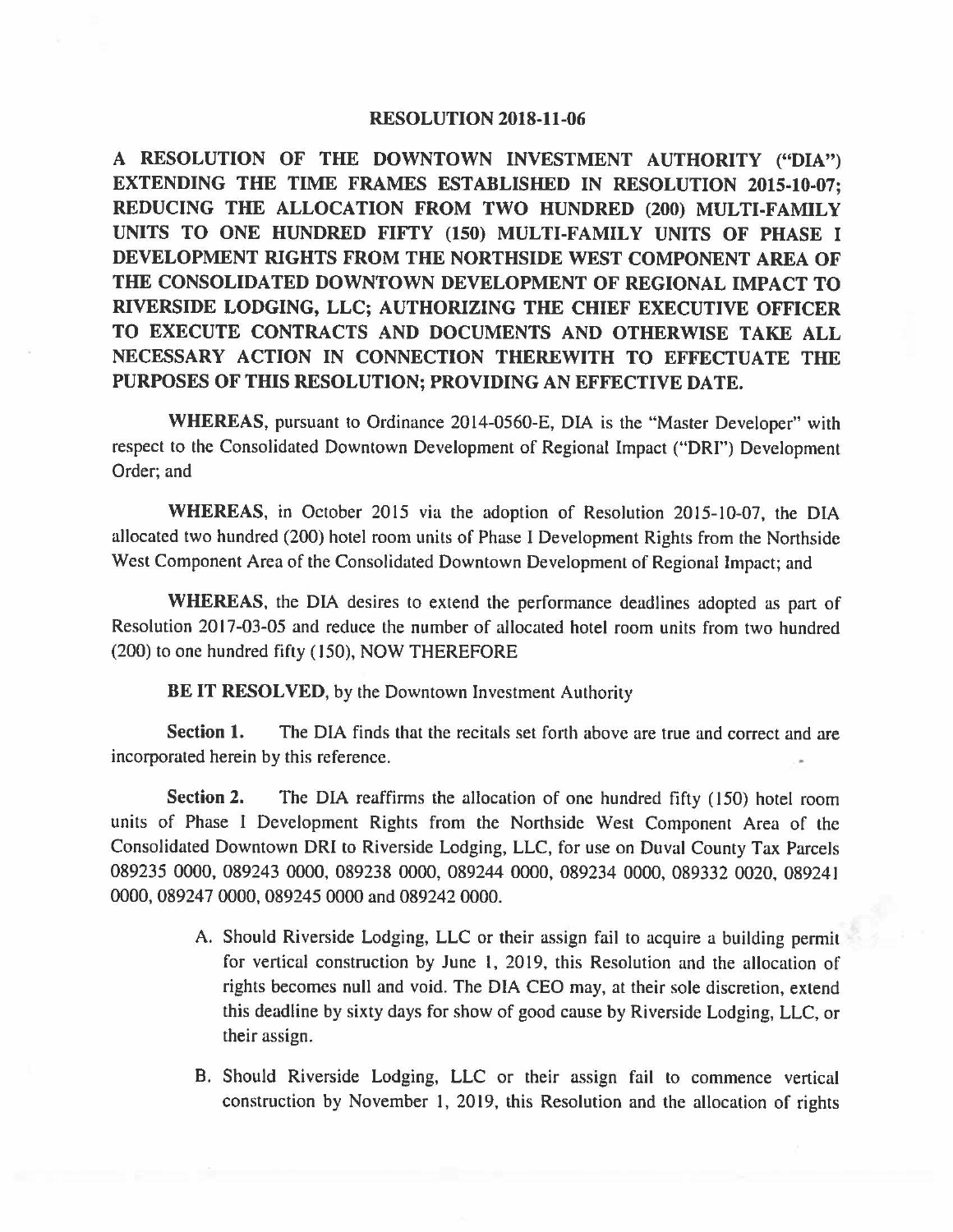## **RESOLUTION 2018-11-06**

**A RESOLUTION OF THE DOWNTOWN INVESTMENT AUTHORITY ("DIA") EXTENDING THE TIME FRAMES ESTABLISHED IN RESOLUTION 2015-10-07; REDUCING THE ALLOCATION FROM TWO HUNDRED (200) MULTI-FAMILY UNITS TO ONE HUNDRED FIFTY (150) MULTI-FAMILY UNITS OF PHASE** I **DEVELOPMENT RIGHTS FROM THE NORTHSIDE WEST COMPONENT AREA OF THE CONSOLIDATED DOWNTOWN DEVELOPMENT OF REGIONAL IMPACT TO RIVERSIDE LODGING, LLC; AUTHORIZING THE CHIEF EXECUTIVE OFFICER TO EXECUTE CONTRACTS AND DOCUMENTS AND OTHERWISE TAKE ALL NECESSARY ACTION IN CONNECTION THEREWITH TO EFFECTUATE THE PURPOSES OF THIS RESOLUTION; PROVIDING AN EFFECTIVE DATE.** 

**WHEREAS,** pursuant to Ordinance 2014-0560-E, DIA is the "Master Developer" with respect to the Consolidated Downtown Development of Regional Impact ("DRI") Development Order; and

**WHEREAS,** in October 2015 via the adoption of Resolution 2015-10-07, the DIA allocated two hundred (200) hotel room units of Phase I Development Rights from the Northside West Component Area of the Consolidated Downtown Development of Regional Impact; and

**WHEREAS,** the DIA desires to extend the performance deadlines adopted as part of Resolution 2017-03-05 and reduce the number of allocated hotel room units from two hundred (200) to one hundred fifty ( 150), NOW THEREFORE

**BE IT RESOLVED, by the Downtown Investment Authority** 

**Section 1.** The DIA finds that the recitals set forth above are true and correct and are incorporated herein by this reference.

**Section 2.** The DIA reaffirms the allocation of one hundred fifty (150) hotel room units of Phase I Development Rights from the Northside West Component Area of the Consolidated Downtown DRI to Riverside Lodging, LLC, for use on Duval County Tax Parcels 089235 0000, 089243 0000, 089238 0000, 089244 0000, 089234 0000, 089332 0020, 089241 0000, 089247 0000, 089245 0000 and 089242 0000.

- A. Should Riverside Lodging, LLC or their assign fail to acquire a building permit for vertical construction by June 1, 2019, this Resolution and the allocation of rights becomes null and void. The DIA CEO may, at their sole discretion, extend this deadline by sixty days for show of good cause by Riverside Lodging, LLC, or their assign.
- B. Should Riverside Lodging, LLC or their assign fail to commence vertical construction by November 1, 2019, this Resolution and the allocation of rights